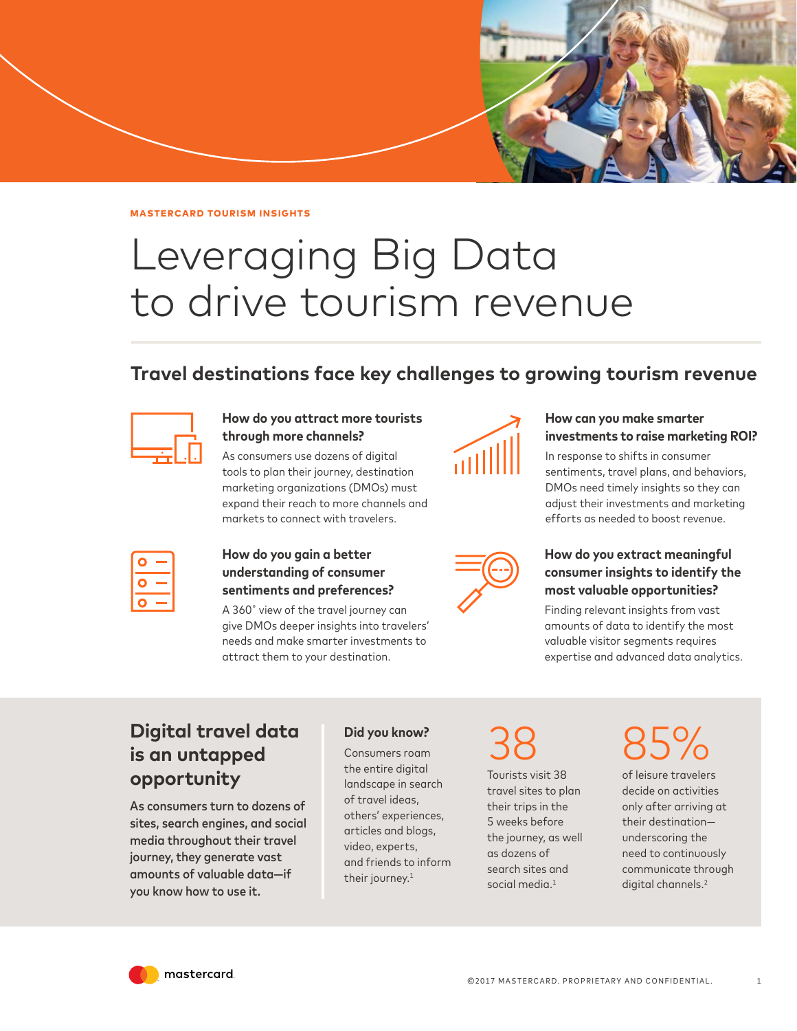

## Leveraging Big Data to drive tourism revenue

## **Travel destinations face key challenges to growing tourism revenue**



#### **How do you attract more tourists through more channels?**

As consumers use dozens of digital tools to plan their journey, destination marketing organizations (DMOs) must expand their reach to more channels and markets to connect with travelers.



### **How can you make smarter investments to raise marketing ROI?**

In response to shifts in consumer sentiments, travel plans, and behaviors, DMOs need timely insights so they can adjust their investments and marketing efforts as needed to boost revenue.

| <b>Service Service</b>                                                                                               |
|----------------------------------------------------------------------------------------------------------------------|
| and the state of the state of the state of the state of the state of the state of the state of the state of th       |
| and the state of the state of the state of the state of the state of the state of the state of the state of th<br>__ |

### **How do you gain a better understanding of consumer sentiments and preferences?**

A 360˚ view of the travel journey can give DMOs deeper insights into travelers' needs and make smarter investments to attract them to your destination.



### **How do you extract meaningful consumer insights to identify the most valuable opportunities?**

Finding relevant insights from vast amounts of data to identify the most valuable visitor segments requires expertise and advanced data analytics.

## **Digital travel data is an untapped opportunity**

As consumers turn to dozens of sites, search engines, and social media throughout their travel journey, they generate vast amounts of valuable data—if you know how to use it.

### **Did you know?**

Consumers roam the entire digital landscape in search of travel ideas, others' experiences, articles and blogs, video, experts, and friends to inform their journey. $1$ 

38

Tourists visit 38 travel sites to plan their trips in the 5 weeks before the journey, as well as dozens of search sites and social media.<sup>1</sup>

# 85%

of leisure travelers decide on activities only after arriving at their destination underscoring the need to continuously communicate through digital channels.<sup>2</sup>